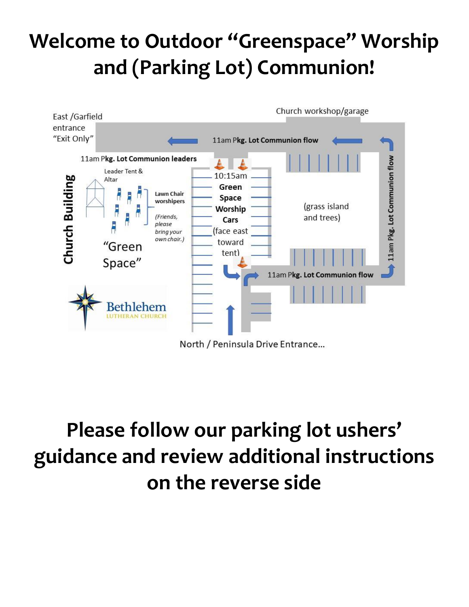## **Welcome to Outdoor "Greenspace" Worship and (Parking Lot) Communion!**



## **Please follow our parking lot ushers' guidance and review additional instructions on the reverse side**